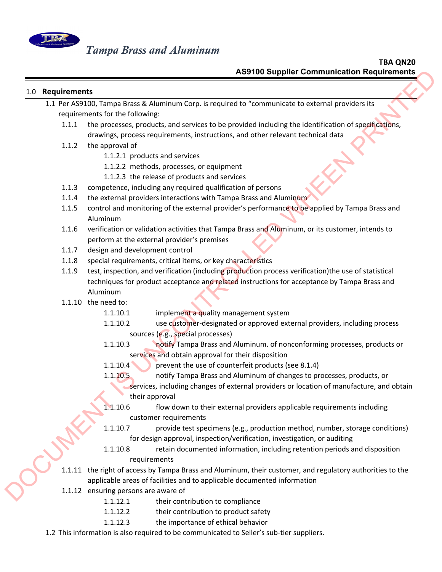

## $\mathsf{TBA} \ \mathsf{Q} \mathsf{N20}$ **AS9100 Supplier Communication Requirements**

## 1.0 **Requirements**

1.1 Per AS9100, Tampa Brass & Aluminum Corp. is required to "communicate to external providers its requirements for the following:

- 1.1.1 the processes, products, and services to be provided including the identification of specifications, drawings, process requirements, instructions, and other relevant technical data
- 1.1.2 the approval of
	- 1.1.2.1 products and services
	- 1.1.2.2 methods, processes, or equipment
	- 1.1.2.3 the release of products and services
- 1.1.3 competence, including any required qualification of persons
- 1.1.4 the external providers interactions with Tampa Brass and Aluminum
- 1.1.5 control and monitoring of the external provider's performance to be applied by Tampa Brass and Aluminum
- 1.1.6 verification or validation activities that Tampa Brass and Aluminum, or its customer, intends to perform at the external provider's premises
- 1.1.7 design and development control
- 1.1.8 special requirements, critical items, or key characteristics
- 1.1.9 test, inspection, and verification (including production process verification) the use of statistical techniques for product acceptance and related instructions for acceptance by Tampa Brass and Aluminum 3.0 **AS9100 Supplier Communication Requirements**<br>
1.1 For AS9100, Turpus Busse & Aluminum Curp. is required to "communicate to esterate providers its<br>
requirements for the 60 forenence, and services to be provided includi
	- 1.1.10 the need to:
		- 1.1.10.1 implement a quality management system
		- 1.1.10.2 use customer‐designated or approved external providers, including process sources (e.g., special processes)
		- 1.1.10.3 notify Tampa Brass and Aluminum. of nonconforming processes, products or services and obtain approval for their disposition
		- 1.1.10.4 **prevent the use of counterfeit products (see 8.1.4)**
		- 1.1.10.5 notify Tampa Brass and Aluminum of changes to processes, products, or
			- services, including changes of external providers or location of manufacture, and obtain their approval
		- 1.1.10.6 flow down to their external providers applicable requirements including customer requirements
		- 1.1.10.7 provide test specimens (e.g., production method, number, storage conditions) for design approval, inspection/verification, investigation, or auditing
		- 1.1.10.8 retain documented information, including retention periods and disposition requirements
	- 1.1.11 the right of access by Tampa Brass and Aluminum, their customer, and regulatory authorities to the applicable areas of facilities and to applicable documented information
	- 1.1.12 ensuring persons are aware of
		- 1.1.12.1 their contribution to compliance
		- 1.1.12.2 their contribution to product safety
		- 1.1.12.3 the importance of ethical behavior
	- 1.2 This information is also required to be communicated to Seller's sub-tier suppliers.